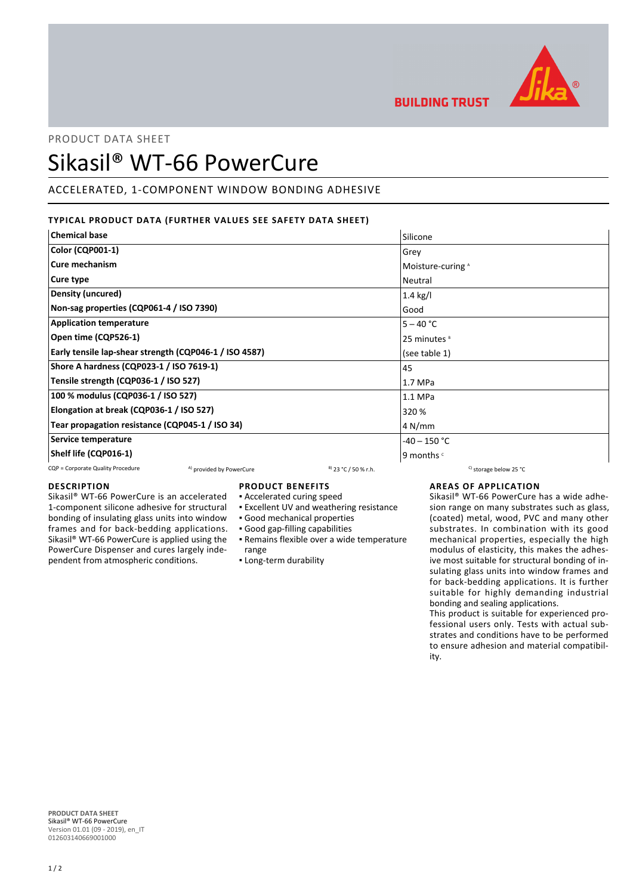

**BUILDING TRUST** 

# PRODUCT DATA SHEET

# Sikasil® WT-66 PowerCure

# ACCELERATED, 1-COMPONENT WINDOW BONDING ADHESIVE

# **TYPICAL PRODUCT DATA (FURTHER VALUES SEE SAFETY DATA SHEET)**

| <b>Chemical base</b>                                   | Silicone                |
|--------------------------------------------------------|-------------------------|
| <b>Color (CQP001-1)</b>                                | Grey                    |
| Cure mechanism                                         | Moisture-curing A       |
| Cure type                                              | Neutral                 |
| <b>Density (uncured)</b>                               | $1.4$ kg/l              |
| Non-sag properties (CQP061-4 / ISO 7390)               | Good                    |
| <b>Application temperature</b>                         | $5 - 40 °C$             |
| Open time (CQP526-1)                                   | 25 minutes <sup>8</sup> |
| Early tensile lap-shear strength (CQP046-1 / ISO 4587) | (see table 1)           |
| Shore A hardness (CQP023-1 / ISO 7619-1)               | 45                      |
| Tensile strength (CQP036-1 / ISO 527)                  | 1.7 MPa                 |
| 100 % modulus (CQP036-1 / ISO 527)                     | 1.1 MPa                 |
| Elongation at break (CQP036-1 / ISO 527)               | 320 %                   |
| Tear propagation resistance (CQP045-1 / ISO 34)        | 4 N/mm                  |
| Service temperature                                    | $-40 - 150$ °C          |
| Shelf life (CQP016-1)                                  | 9 months c              |
|                                                        |                         |

#### CQP = Corporate Quality Procedure  $A)$  provided by PowerCure  $B$  23 °C / 50 % r.h. C) storage below 25 °C

#### **DESCRIPTION**

Sikasil® WT-66 PowerCure is an accelerated 1-component silicone adhesive for structural bonding of insulating glass units into window frames and for back-bedding applications. Sikasil® WT-66 PowerCure is applied using the PowerCure Dispenser and cures largely independent from atmospheric conditions.

# **PRODUCT BENEFITS**

- Accelerated curing speed
- Excellent UV and weathering resistance
- Good mechanical properties
- Good gap-filling capabilities
- Remains flexible over a wide temperature range
- Long-term durability

# **AREAS OF APPLICATION**

Sikasil® WT-66 PowerCure has a wide adhesion range on many substrates such as glass, (coated) metal, wood, PVC and many other substrates. In combination with its good mechanical properties, especially the high modulus of elasticity, this makes the adhesive most suitable for structural bonding of insulating glass units into window frames and for back-bedding applications. It is further suitable for highly demanding industrial bonding and sealing applications.

This product is suitable for experienced professional users only. Tests with actual substrates and conditions have to be performed to ensure adhesion and material compatibility.

**PRODUCT DATA SHEET** Sikasil® WT-66 PowerCure Version 01.01 (09 - 2019), en\_IT 012603140669001000